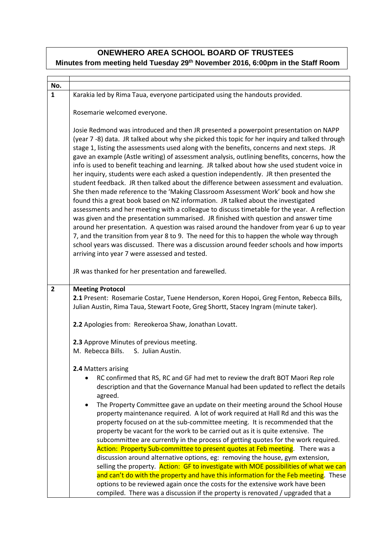## **ONEWHERO AREA SCHOOL BOARD OF TRUSTEES Minutes from meeting held Tuesday 29th November 2016, 6:00pm in the Staff Room**

| No.            |                                                                                                |
|----------------|------------------------------------------------------------------------------------------------|
| $\mathbf{1}$   | Karakia led by Rima Taua, everyone participated using the handouts provided.                   |
|                |                                                                                                |
|                |                                                                                                |
|                | Rosemarie welcomed everyone.                                                                   |
|                |                                                                                                |
|                | Josie Redmond was introduced and then JR presented a powerpoint presentation on NAPP           |
|                | (year 7 -8) data. JR talked about why she picked this topic for her inquiry and talked through |
|                | stage 1, listing the assessments used along with the benefits, concerns and next steps. JR     |
|                | gave an example (Astle writing) of assessment analysis, outlining benefits, concerns, how the  |
|                | info is used to benefit teaching and learning. JR talked about how she used student voice in   |
|                |                                                                                                |
|                | her inquiry, students were each asked a question independently. JR then presented the          |
|                | student feedback. JR then talked about the difference between assessment and evaluation.       |
|                | She then made reference to the 'Making Classroom Assessment Work' book and how she             |
|                | found this a great book based on NZ information. JR talked about the investigated              |
|                | assessments and her meeting with a colleague to discuss timetable for the year. A reflection   |
|                | was given and the presentation summarised. JR finished with question and answer time           |
|                | around her presentation. A question was raised around the handover from year 6 up to year      |
|                | 7, and the transition from year 8 to 9. The need for this to happen the whole way through      |
|                | school years was discussed. There was a discussion around feeder schools and how imports       |
|                | arriving into year 7 were assessed and tested.                                                 |
|                |                                                                                                |
|                |                                                                                                |
|                | JR was thanked for her presentation and farewelled.                                            |
|                |                                                                                                |
| $\overline{2}$ | <b>Meeting Protocol</b>                                                                        |
|                | 2.1 Present: Rosemarie Costar, Tuene Henderson, Koren Hopoi, Greg Fenton, Rebecca Bills,       |
|                | Julian Austin, Rima Taua, Stewart Foote, Greg Shortt, Stacey Ingram (minute taker).            |
|                |                                                                                                |
|                | 2.2 Apologies from: Rereokeroa Shaw, Jonathan Lovatt.                                          |
|                |                                                                                                |
|                | 2.3 Approve Minutes of previous meeting.                                                       |
|                | M. Rebecca Bills. S. Julian Austin.                                                            |
|                |                                                                                                |
|                | 2.4 Matters arising                                                                            |
|                |                                                                                                |
|                | RC confirmed that RS, RC and GF had met to review the draft BOT Maori Rep role<br>$\bullet$    |
|                | description and that the Governance Manual had been updated to reflect the details             |
|                | agreed.                                                                                        |
|                | The Property Committee gave an update on their meeting around the School House<br>$\bullet$    |
|                | property maintenance required. A lot of work required at Hall Rd and this was the              |
|                | property focused on at the sub-committee meeting. It is recommended that the                   |
|                | property be vacant for the work to be carried out as it is quite extensive. The                |
|                | subcommittee are currently in the process of getting quotes for the work required.             |
|                | Action: Property Sub-committee to present quotes at Feb meeting. There was a                   |
|                | discussion around alternative options, eg: removing the house, gym extension,                  |
|                | selling the property. Action: GF to investigate with MOE possibilities of what we can          |
|                |                                                                                                |
|                | and can't do with the property and have this information for the Feb meeting. These            |
|                | options to be reviewed again once the costs for the extensive work have been                   |
|                | compiled. There was a discussion if the property is renovated / upgraded that a                |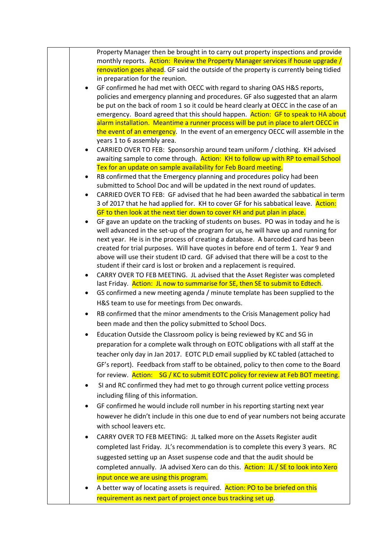|           | Property Manager then be brought in to carry out property inspections and provide                                                                                       |
|-----------|-------------------------------------------------------------------------------------------------------------------------------------------------------------------------|
|           | monthly reports. Action: Review the Property Manager services if house upgrade /                                                                                        |
|           | renovation goes ahead. GF said the outside of the property is currently being tidied                                                                                    |
|           | in preparation for the reunion.                                                                                                                                         |
| $\bullet$ | GF confirmed he had met with OECC with regard to sharing OAS H&S reports,                                                                                               |
|           | policies and emergency planning and procedures. GF also suggested that an alarm                                                                                         |
|           | be put on the back of room 1 so it could be heard clearly at OECC in the case of an                                                                                     |
|           | emergency. Board agreed that this should happen. Action: GF to speak to HA about<br>alarm installation. Meantime a runner process will be put in place to alert OECC in |
|           | the event of an emergency. In the event of an emergency OECC will assemble in the                                                                                       |
|           | years 1 to 6 assembly area.                                                                                                                                             |
| $\bullet$ | CARRIED OVER TO FEB: Sponsorship around team uniform / clothing. KH advised                                                                                             |
|           | awaiting sample to come through. Action: KH to follow up with RP to email School                                                                                        |
|           | Tex for an update on sample availability for Feb Board meeting.                                                                                                         |
| $\bullet$ | RB confirmed that the Emergency planning and procedures policy had been                                                                                                 |
|           | submitted to School Doc and will be updated in the next round of updates.                                                                                               |
|           | CARRIED OVER TO FEB: GF advised that he had been awarded the sabbatical in term                                                                                         |
|           | 3 of 2017 that he had applied for. KH to cover GF for his sabbatical leave. Action:                                                                                     |
|           | GF to then look at the next tier down to cover KH and put plan in place.                                                                                                |
|           | GF gave an update on the tracking of students on buses. PO was in today and he is                                                                                       |
|           | well advanced in the set-up of the program for us, he will have up and running for                                                                                      |
|           | next year. He is in the process of creating a database. A barcoded card has been<br>created for trial purposes. Will have quotes in before end of term 1. Year 9 and    |
|           | above will use their student ID card. GF advised that there will be a cost to the                                                                                       |
|           | student if their card is lost or broken and a replacement is required.                                                                                                  |
| $\bullet$ | CARRY OVER TO FEB MEETING. JL advised that the Asset Register was completed                                                                                             |
|           | last Friday. Action: JL now to summarise for SE, then SE to submit to Edtech.                                                                                           |
| ٠         | GS confirmed a new meeting agenda / minute template has been supplied to the                                                                                            |
|           | H&S team to use for meetings from Dec onwards.                                                                                                                          |
|           | RB confirmed that the minor amendments to the Crisis Management policy had                                                                                              |
|           | been made and then the policy submitted to School Docs.                                                                                                                 |
|           | Education Outside the Classroom policy is being reviewed by KC and SG in                                                                                                |
|           | preparation for a complete walk through on EOTC obligations with all staff at the                                                                                       |
|           | teacher only day in Jan 2017. EOTC PLD email supplied by KC tabled (attached to                                                                                         |
|           | GF's report). Feedback from staff to be obtained, policy to then come to the Board                                                                                      |
|           | for review. Action: SG / KC to submit EOTC policy for review at Feb BOT meeting.                                                                                        |
| $\bullet$ | SI and RC confirmed they had met to go through current police vetting process                                                                                           |
|           | including filing of this information.                                                                                                                                   |
|           |                                                                                                                                                                         |
| $\bullet$ | GF confirmed he would include roll number in his reporting starting next year                                                                                           |
|           | however he didn't include in this one due to end of year numbers not being accurate                                                                                     |
|           | with school leavers etc.                                                                                                                                                |
| ٠         | CARRY OVER TO FEB MEETING: JL talked more on the Assets Register audit                                                                                                  |
|           | completed last Friday. JL's recommendation is to complete this every 3 years. RC                                                                                        |
|           | suggested setting up an Asset suspense code and that the audit should be                                                                                                |
|           | completed annually. JA advised Xero can do this. Action: JL / SE to look into Xero                                                                                      |
|           | input once we are using this program.                                                                                                                                   |
|           | A better way of locating assets is required. Action: PO to be briefed on this                                                                                           |
|           | requirement as next part of project once bus tracking set up.                                                                                                           |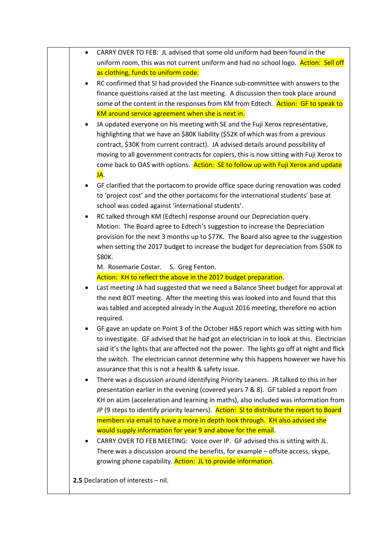| uniform room, this was not current uniform and had no school logo. Action: Sell off                                                              |
|--------------------------------------------------------------------------------------------------------------------------------------------------|
| as clothing, funds to uniform code.                                                                                                              |
| RC confirmed that SI had provided the Finance sub-committee with answers to the                                                                  |
| finance questions raised at the last meeting. A discussion then took place around                                                                |
| some of the content in the responses from KM from Edtech. Action: GF to speak to                                                                 |
| KM around service agreement when she is next in.                                                                                                 |
| JA updated everyone on his meeting with SE and the Fuji Xerox representative,                                                                    |
| highlighting that we have an \$80K liability (\$52K of which was from a previous                                                                 |
| contract, \$30K from current contract). JA advised details around possibility of                                                                 |
| moving to all government contracts for copiers, this is now sitting with Fuji Xerox to                                                           |
| come back to OAS with options. Action: SE to follow up with Fuji Xerox and update                                                                |
| JA.                                                                                                                                              |
| GF clarified that the portacom to provide office space during renovation was coded                                                               |
| to 'project cost' and the other portacoms for the international students' base at                                                                |
| school was coded against 'international students'.                                                                                               |
| RC talked through KM (Edtech) response around our Depreciation query.                                                                            |
| Motion: The Board agree to Edtech's suggestion to increase the Depreciation                                                                      |
| provision for the next 3 months up to \$77K. The Board also agree to the suggestion                                                              |
| when setting the 2017 budget to increase the budget for depreciation from \$50K to                                                               |
| \$80K.                                                                                                                                           |
| M. Rosemarie Costar.<br>S. Greg Fenton.                                                                                                          |
| Action: KH to reflect the above in the 2017 budget preparation.                                                                                  |
| Last meeting JA had suggested that we need a Balance Sheet budget for approval at                                                                |
| the next BOT meeting. After the meeting this was looked into and found that this                                                                 |
| was tabled and accepted already in the August 2016 meeting, therefore no action                                                                  |
| required.                                                                                                                                        |
| GF gave an update on Point 3 of the October H&S report which was sitting with him                                                                |
| to investigate. GF advised that he had got an electrician in to look at this. Electrician                                                        |
| said it's the lights that are affected not the power. The lights go off at night and flick                                                       |
| the switch. The electrician cannot determine why this happens however we have his<br>assurance that this is not a health & safety issue.         |
| There was a discussion around identifying Priority Leaners. JR talked to this in her                                                             |
| presentation earlier in the evening (covered years 7 & 8). GF tabled a report from                                                               |
| KH on aLim (acceleration and learning in maths), also included was information from                                                              |
| JP (9 steps to identify priority learners). Action: SI to distribute the report to Board                                                         |
| members via email to have a more in depth look through. KH also advised she                                                                      |
| would supply information for year 9 and above for the email.                                                                                     |
|                                                                                                                                                  |
|                                                                                                                                                  |
| CARRY OVER TO FEB MEETING: Voice over IP. GF advised this is sitting with JL.                                                                    |
| There was a discussion around the benefits, for example - offsite access, skype,<br>growing phone capability. Action: JL to provide information. |
|                                                                                                                                                  |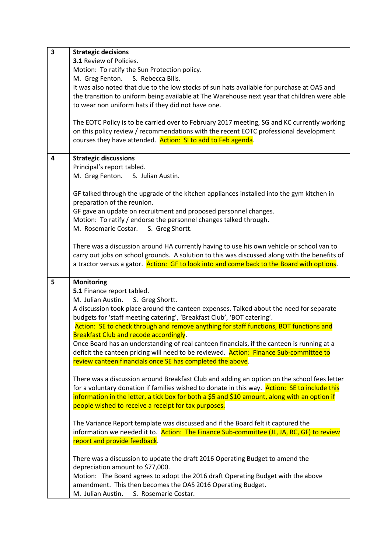| $\overline{\mathbf{3}}$ | <b>Strategic decisions</b>                                                                               |
|-------------------------|----------------------------------------------------------------------------------------------------------|
|                         | 3.1 Review of Policies.                                                                                  |
|                         | Motion: To ratify the Sun Protection policy.                                                             |
|                         | M. Greg Fenton.<br>S. Rebecca Bills.                                                                     |
|                         | It was also noted that due to the low stocks of sun hats available for purchase at OAS and               |
|                         |                                                                                                          |
|                         | the transition to uniform being available at The Warehouse next year that children were able             |
|                         | to wear non uniform hats if they did not have one.                                                       |
|                         |                                                                                                          |
|                         | The EOTC Policy is to be carried over to February 2017 meeting, SG and KC currently working              |
|                         | on this policy review / recommendations with the recent EOTC professional development                    |
|                         | courses they have attended. Action: SI to add to Feb agenda.                                             |
|                         |                                                                                                          |
| 4                       | <b>Strategic discussions</b>                                                                             |
|                         | Principal's report tabled.                                                                               |
|                         |                                                                                                          |
|                         | M. Greg Fenton. S. Julian Austin.                                                                        |
|                         |                                                                                                          |
|                         | GF talked through the upgrade of the kitchen appliances installed into the gym kitchen in                |
|                         | preparation of the reunion.                                                                              |
|                         | GF gave an update on recruitment and proposed personnel changes.                                         |
|                         | Motion: To ratify / endorse the personnel changes talked through.                                        |
|                         | M. Rosemarie Costar.<br>S. Greg Shortt.                                                                  |
|                         |                                                                                                          |
|                         | There was a discussion around HA currently having to use his own vehicle or school van to                |
|                         |                                                                                                          |
|                         | carry out jobs on school grounds. A solution to this was discussed along with the benefits of            |
|                         | a tractor versus a gator. Action: GF to look into and come back to the Board with options.               |
|                         |                                                                                                          |
|                         |                                                                                                          |
| 5                       | <b>Monitoring</b>                                                                                        |
|                         | 5.1 Finance report tabled.                                                                               |
|                         | M. Julian Austin.<br>S. Greg Shortt.                                                                     |
|                         | A discussion took place around the canteen expenses. Talked about the need for separate                  |
|                         | budgets for 'staff meeting catering', 'Breakfast Club', 'BOT catering'.                                  |
|                         |                                                                                                          |
|                         | Action: SE to check through and remove anything for staff functions, BOT functions and                   |
|                         | Breakfast Club and recode accordingly.                                                                   |
|                         | Once Board has an understanding of real canteen financials, if the canteen is running at a               |
|                         | deficit the canteen pricing will need to be reviewed. Action: Finance Sub-committee to                   |
|                         | review canteen financials once SE has completed the above.                                               |
|                         |                                                                                                          |
|                         | There was a discussion around Breakfast Club and adding an option on the school fees letter              |
|                         | for a voluntary donation if families wished to donate in this way. Action: SE to include this            |
|                         | information in the letter, a tick box for both a \$5 and \$10 amount, along with an option if            |
|                         | people wished to receive a receipt for tax purposes.                                                     |
|                         |                                                                                                          |
|                         | The Variance Report template was discussed and if the Board felt it captured the                         |
|                         | information we needed it to. Action: The Finance Sub-committee (JL, JA, RC, GF) to review                |
|                         |                                                                                                          |
|                         | report and provide feedback.                                                                             |
|                         |                                                                                                          |
|                         | There was a discussion to update the draft 2016 Operating Budget to amend the                            |
|                         | depreciation amount to \$77,000.                                                                         |
|                         | Motion: The Board agrees to adopt the 2016 draft Operating Budget with the above                         |
|                         | amendment. This then becomes the OAS 2016 Operating Budget.<br>M. Julian Austin.<br>S. Rosemarie Costar. |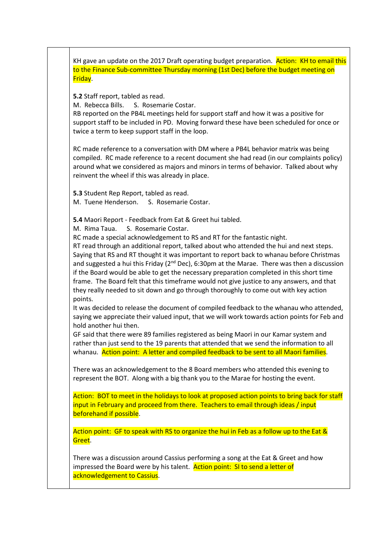KH gave an update on the 2017 Draft operating budget preparation. Action: KH to email this to the Finance Sub-committee Thursday morning (1st Dec) before the budget meeting on Friday.

**5.2** Staff report, tabled as read.

M. Rebecca Bills. S. Rosemarie Costar.

RB reported on the PB4L meetings held for support staff and how it was a positive for support staff to be included in PD. Moving forward these have been scheduled for once or twice a term to keep support staff in the loop.

RC made reference to a conversation with DM where a PB4L behavior matrix was being compiled. RC made reference to a recent document she had read (in our complaints policy) around what we considered as majors and minors in terms of behavior. Talked about why reinvent the wheel if this was already in place.

**5.3** Student Rep Report, tabled as read.

M. Tuene Henderson. S. Rosemarie Costar.

**5.4** Maori Report - Feedback from Eat & Greet hui tabled.

M. Rima Taua. S. Rosemarie Costar.

RC made a special acknowledgement to RS and RT for the fantastic night.

RT read through an additional report, talked about who attended the hui and next steps. Saying that RS and RT thought it was important to report back to whanau before Christmas and suggested a hui this Friday ( $2<sup>nd</sup>$  Dec), 6:30pm at the Marae. There was then a discussion if the Board would be able to get the necessary preparation completed in this short time frame. The Board felt that this timeframe would not give justice to any answers, and that they really needed to sit down and go through thoroughly to come out with key action points.

It was decided to release the document of compiled feedback to the whanau who attended, saying we appreciate their valued input, that we will work towards action points for Feb and hold another hui then.

GF said that there were 89 families registered as being Maori in our Kamar system and rather than just send to the 19 parents that attended that we send the information to all whanau. Action point: A letter and compiled feedback to be sent to all Maori families.

There was an acknowledgement to the 8 Board members who attended this evening to represent the BOT. Along with a big thank you to the Marae for hosting the event.

Action: BOT to meet in the holidays to look at proposed action points to bring back for staff input in February and proceed from there. Teachers to email through ideas / input beforehand if possible.

Action point: GF to speak with RS to organize the hui in Feb as a follow up to the Eat & Greet.

There was a discussion around Cassius performing a song at the Eat & Greet and how impressed the Board were by his talent. Action point: SI to send a letter of acknowledgement to Cassius.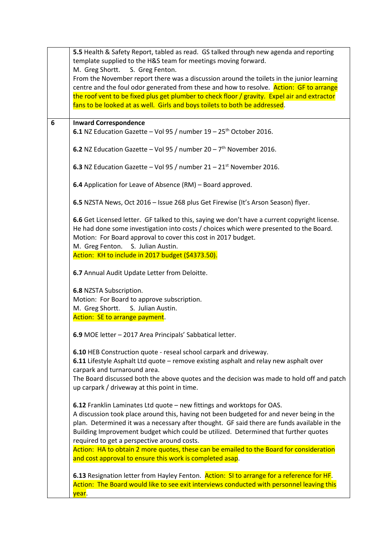|   | 5.5 Health & Safety Report, tabled as read. GS talked through new agenda and reporting                                                                                                                                                                                                                                                         |
|---|------------------------------------------------------------------------------------------------------------------------------------------------------------------------------------------------------------------------------------------------------------------------------------------------------------------------------------------------|
|   | template supplied to the H&S team for meetings moving forward.<br>M. Greg Shortt.<br>S. Greg Fenton.                                                                                                                                                                                                                                           |
|   | From the November report there was a discussion around the toilets in the junior learning<br>centre and the foul odor generated from these and how to resolve. Action: GF to arrange                                                                                                                                                           |
|   | the roof vent to be fixed plus get plumber to check floor / gravity. Expel air and extractor<br>fans to be looked at as well. Girls and boys toilets to both be addressed.                                                                                                                                                                     |
| 6 | <b>Inward Correspondence</b>                                                                                                                                                                                                                                                                                                                   |
|   | 6.1 NZ Education Gazette - Vol 95 / number 19 - 25 <sup>th</sup> October 2016.                                                                                                                                                                                                                                                                 |
|   | 6.2 NZ Education Gazette - Vol 95 / number $20 - 7$ <sup>th</sup> November 2016.                                                                                                                                                                                                                                                               |
|   | 6.3 NZ Education Gazette - Vol 95 / number $21 - 21$ <sup>st</sup> November 2016.                                                                                                                                                                                                                                                              |
|   | 6.4 Application for Leave of Absence (RM) - Board approved.                                                                                                                                                                                                                                                                                    |
|   | 6.5 NZSTA News, Oct 2016 - Issue 268 plus Get Firewise (It's Arson Season) flyer.                                                                                                                                                                                                                                                              |
|   | 6.6 Get Licensed letter. GF talked to this, saying we don't have a current copyright license.<br>He had done some investigation into costs / choices which were presented to the Board.<br>Motion: For Board approval to cover this cost in 2017 budget.                                                                                       |
|   | M. Greg Fenton. S. Julian Austin.<br>Action: KH to include in 2017 budget (\$4373.50).                                                                                                                                                                                                                                                         |
|   |                                                                                                                                                                                                                                                                                                                                                |
|   | 6.7 Annual Audit Update Letter from Deloitte.                                                                                                                                                                                                                                                                                                  |
|   | 6.8 NZSTA Subscription.                                                                                                                                                                                                                                                                                                                        |
|   | Motion: For Board to approve subscription.                                                                                                                                                                                                                                                                                                     |
|   | M. Greg Shortt. S. Julian Austin.<br>Action: SE to arrange payment.                                                                                                                                                                                                                                                                            |
|   |                                                                                                                                                                                                                                                                                                                                                |
|   | 6.9 MOE letter - 2017 Area Principals' Sabbatical letter.                                                                                                                                                                                                                                                                                      |
|   | 6.10 HEB Construction quote - reseal school carpark and driveway.<br><b>6.11</b> Lifestyle Asphalt Ltd quote – remove existing asphalt and relay new asphalt over<br>carpark and turnaround area.<br>The Board discussed both the above quotes and the decision was made to hold off and patch<br>up carpark / driveway at this point in time. |
|   | 6.12 Franklin Laminates Ltd quote - new fittings and worktops for OAS.                                                                                                                                                                                                                                                                         |
|   | A discussion took place around this, having not been budgeted for and never being in the<br>plan. Determined it was a necessary after thought. GF said there are funds available in the<br>Building Improvement budget which could be utilized. Determined that further quotes<br>required to get a perspective around costs.                  |
|   | Action: HA to obtain 2 more quotes, these can be emailed to the Board for consideration<br>and cost approval to ensure this work is completed asap.                                                                                                                                                                                            |
|   | 6.13 Resignation letter from Hayley Fenton. Action: SI to arrange for a reference for HF.<br>Action: The Board would like to see exit interviews conducted with personnel leaving this<br>year.                                                                                                                                                |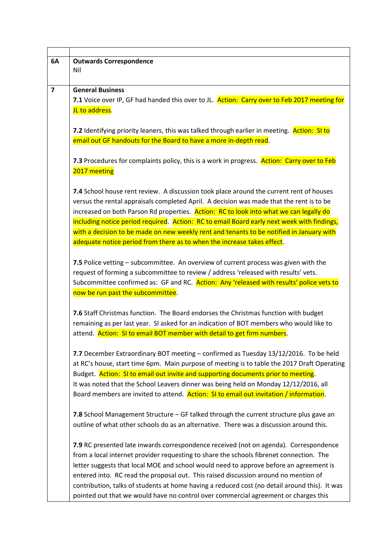| 6A | <b>Outwards Correspondence</b>                                                                |
|----|-----------------------------------------------------------------------------------------------|
|    | Nil                                                                                           |
|    |                                                                                               |
| 7  | <b>General Business</b>                                                                       |
|    | 7.1 Voice over IP, GF had handed this over to JL. Action: Carry over to Feb 2017 meeting for  |
|    | JL to address.                                                                                |
|    |                                                                                               |
|    | 7.2 Identifying priority leaners, this was talked through earlier in meeting. Action: SI to   |
|    | email out GF handouts for the Board to have a more in-depth read.                             |
|    |                                                                                               |
|    | 7.3 Procedures for complaints policy, this is a work in progress. Action: Carry over to Feb   |
|    | 2017 meeting                                                                                  |
|    |                                                                                               |
|    | 7.4 School house rent review. A discussion took place around the current rent of houses       |
|    | versus the rental appraisals completed April. A decision was made that the rent is to be      |
|    | increased on both Parson Rd properties. Action: RC to look into what we can legally do        |
|    | including notice period required. Action: RC to email Board early next week with findings,    |
|    | with a decision to be made on new weekly rent and tenants to be notified in January with      |
|    | adequate notice period from there as to when the increase takes effect.                       |
|    |                                                                                               |
|    | 7.5 Police vetting – subcommittee. An overview of current process was given with the          |
|    | request of forming a subcommittee to review / address 'released with results' vets.           |
|    | Subcommittee confirmed as: GF and RC. Action: Any 'released with results' police vets to      |
|    | now be run past the subcommittee.                                                             |
|    |                                                                                               |
|    | 7.6 Staff Christmas function. The Board endorses the Christmas function with budget           |
|    | remaining as per last year. SI asked for an indication of BOT members who would like to       |
|    |                                                                                               |
|    | attend. Action: SI to email BOT member with detail to get firm numbers.                       |
|    |                                                                                               |
|    | 7.7 December Extraordinary BOT meeting - confirmed as Tuesday 13/12/2016. To be held          |
|    | at RC's house, start time 6pm. Main purpose of meeting is to table the 2017 Draft Operating   |
|    | Budget. Action: SI to email out invite and supporting documents prior to meeting.             |
|    | It was noted that the School Leavers dinner was being held on Monday 12/12/2016, all          |
|    | Board members are invited to attend. Action: SI to email out invitation / information.        |
|    |                                                                                               |
|    | 7.8 School Management Structure - GF talked through the current structure plus gave an        |
|    | outline of what other schools do as an alternative. There was a discussion around this.       |
|    |                                                                                               |
|    | 7.9 RC presented late inwards correspondence received (not on agenda). Correspondence         |
|    | from a local internet provider requesting to share the schools fibrenet connection. The       |
|    | letter suggests that local MOE and school would need to approve before an agreement is        |
|    | entered into. RC read the proposal out. This raised discussion around no mention of           |
|    | contribution, talks of students at home having a reduced cost (no detail around this). It was |
|    | pointed out that we would have no control over commercial agreement or charges this           |
|    |                                                                                               |